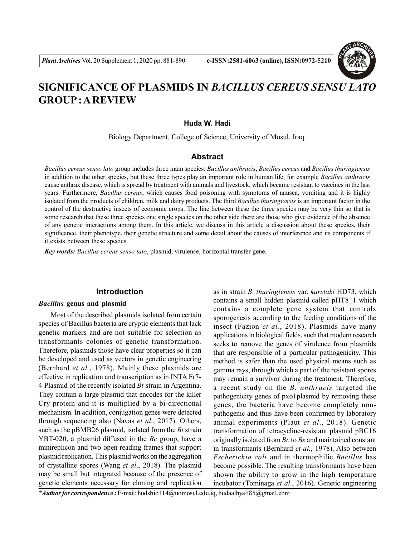

# **SIGNIFICANCE OF PLASMIDS IN** *BACILLUS CEREUS SENSU LATO* **GROUP : A REVIEW**

**Huda W. Hadi**

Biology Department, College of Science, University of Mosul, Iraq.

# **Abstract**

*Bacillus cereus senso lato* group includes three main species: *Bacillus anthracis*, *Bacillus cereus* and *Bacillus thuringiensis* in addition to the other species, but these three types play an important role in human life, for example *Bacillus anthracis* cause anthrax disease, which is spread by treatment with animals and livestock, which became resistant to vaccines in the last years. Furthermore, *Bacillus cereus*, which causes food poisoning with symptoms of nausea, vomiting and it is highly isolated from the products of children, milk and dairy products. The third *Bacillus thuringiensis* is an important factor in the control of the destructive insects of economic crops. The line between these the three species may be very thin so that is some research that these three species one single species on the other side there are those who give evidence of the absence of any genetic interactions among them. In this article, we discuss in this article a discussion about these species, their significance, their phenotype, their genetic structure and some detail about the causes of interference and its components if it exists between these species.

*Key words: Bacillus cereus senso lato*, plasmid, virulence, horizontal transfer gene.

### **Introduction**

#### *Bacillus* **genus and plasmid**

Most of the described plasmids isolated from certain species of Bacillus bacteria are cryptic elements that lack genetic markers and are not suitable for selection as transformants colonies of genetic transformation. Therefore, plasmids those have clear properties so it can be developed and used as vectors in genetic engineering (Bernhard *et al.*, 1978). Mainly these plasmids are effective in replication and transcription as in INTA Fr7- 4 Plasmid of the recently isolated *Bt* strain in Argentina. They contain a large plasmid that encodes for the killer Cry protein and it is multiplied by a bi-directional mechanism. In addition, conjugation genes were detected through sequencing also (Navas *et al.*, 2017). Others, such as the pBMB26 plasmid, isolated from the *Bt* strain YBT-020, a plasmid diffused in the *Bc* group, have a minireplicon and two open reading frames that support plasmid replication. This plasmid works on the aggregation of crystalline spores (Wang *et al*., 2018). The plasmid may be small but integrated because of the presence of genetic elements necessary for cloning and replication

as in strain *B. thuringiensis* var. *kurstaki* HD73, which contains a small hidden plasmid called pHT8\_1 which contains a complete gene system that controls sporogenesis according to the feeding conditions of the insect (Fazion *et al*., 2018). Plasmids have many applications in biological fields, such that modern research seeks to remove the genes of virulence from plasmids that are responsible of a particular pathogenicity. This method is safer than the used physical means such as gamma rays, through which a part of the resistant spores may remain a survivor during the treatment. Therefore, a recent study on the *B. anthracis* targeted the pathogenicity genes of pxo1plasmid by removing these genes, the bacteria have become completely nonpathogenic and thus have been confirmed by laboratory animal experiments (Plaut *et al*., 2018). Genetic transformation of tetracycline-resistant plasmid pBC16 originally isolated from *Bc* to *Bs* and maintained constant in transformants (Bernhard *et al.*, 1978). Also between *Escherichia coli* and in thermophilic *Bacillus* has become possible. The resulting transformants have been shown the ability to grow in the high temperature incubator (Tominaga *et al.*, 2016). Genetic engineering

*\*Author for correspondence :* E-mail: hudsbio114@uomosul.edu.iq, hudaalhyali85@gmail.com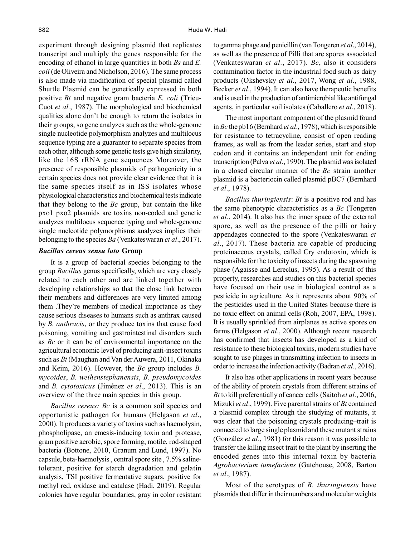experiment through designing plasmid that replicates transcript and multiply the genes responsible for the encoding of ethanol in large quantities in both *Bs* and *E. coli* (de Oliveira and Nicholson, 2016). The same process is also made via modification of special plasmid called Shuttle Plasmid can be genetically expressed in both positive *Bt* and negative gram bacteria *E. coli* (Trieu-Cuot *et al.*, 1987). The morphological and biochemical qualities alone don't be enough to return the isolates in their groups, so gene analyzes such as the whole-genome single nucleotide polymorphism analyzes and multilocus sequence typing are a guarantor to separate species from each other, although some genetic tests give high similarity, like the 16S rRNA gene sequences Moreover, the presence of responsible plasmids of pathogenicity in a certain species does not provide clear evidence that it is the same species itself as in ISS isolates whose physiological characteristics and biochemical tests indicate that they belong to the *Bc* group, but contain the like pxo1 pxo2 plasmids are toxins non-coded and genetic analyzes multilocus sequence typing and whole-genome single nucleotide polymorphisms analyzes implies their belonging to the species *Ba* (Venkateswaran *et al*., 2017).

### *Bacillus cereus sensu lato* **Group**

It is a group of bacterial species belonging to the group *Bacillus* genus specifically, which are very closely related to each other and are linked together with developing relationships so that the close link between their members and differences are very limited among them .They're members of medical importance as they cause serious diseases to humans such as anthrax caused by *B. anthracis*, or they produce toxins that cause food poisoning, vomiting and gastrointestinal disorders such as *Bc* or it can be of environmental importance on the agricultural economic level of producing anti-insect toxins such as *Bt* (Maughan and Van der Auwera, 2011, Okinaka and Keim, 2016). However, the *Bc* group includes *B. mycoides*, *B. weihenstephanensis*, *B. pseudomycoides* and *B. cytotoxicus* (Jiménez *et al*., 2013). This is an overview of the three main species in this group.

*Bacillus cereus: Bc* is a common soil species and opportunistic pathogen for humans (Helgason *et al*., 2000). It produces a variety of toxins such as haemolysin, phospholipase, an emesis-inducing toxin and protease, gram positive aerobic, spore forming, motile, rod-shaped bacteria (Bottone, 2010, Granum and Lund, 1997). No capsule, beta-haemolysis , central spore site , 7.5% salinetolerant, positive for starch degradation and gelatin analysis, TSI positive fermentative sugars, positive for methyl red, oxidase and catalase (Hadi, 2019). Regular colonies have regular boundaries, gray in color resistant to gamma phage and penicillin (van Tongeren *et al*., 2014), as well as the presence of Pilli that are spores associated (Venkateswaran *et al.*, 2017). *Bc*, also it considers contamination factor in the industrial food such as dairy products (Okshevsky *et al.*, 2017, Wong *et al*., 1988, Becker *et al*., 1994). It can also have therapeutic benefits and is used in the production of antimicrobial like antifungal agents, in particular soil isolates (Caballero *et al*., 2018).

The most important component of the plasmid found in *Bc* the pb16 (Bernhard *et al*., 1978), which is responsible for resistance to tetracycline, consist of open reading frames, as well as from the leader series, start and stop codon and it contains an independent unit for ending transcription (Palva *et al*., 1990). The plasmid was isolated in a closed circular manner of the *Bc* strain another plasmid is a bacteriocin called plasmid pBC7 (Bernhard *et al*., 1978).

*Bacillus thuringiensis*: *Bt* is a positive rod and has the same phenotypic characteristics as a *Bc* (Tongeren *et al*., 2014). It also has the inner space of the external spore, as well as the presence of the pilli or hairy appendages connected to the spore (Venkateswaran *et al*., 2017). These bacteria are capable of producing proteinaceous crystals, called Cry endotoxin, which is responsible for the toxicity of insects during the spawning phase (Agaisse and Lereclus, 1995). As a result of this property, researches and studies on this bacterial species have focused on their use in biological control as a pesticide in agriculture. As it represents about 90% of the pesticides used in the United States because there is no toxic effect on animal cells (Roh, 2007, EPA, 1998). It is usually sprinkled from airplanes as active spores on farms (Helgason *et al*., 2000). Although recent research has confirmed that insects has developed as a kind of resistance to these biological toxins, modern studies have sought to use phages in transmitting infection to insects in order to increase the infection activity (Badran *et al*., 2016).

It also has other applications in recent years because of the ability of protein crystals from different strains of *Bt* to kill preferentially of cancer cells (Saitoh *et al.*, 2006, Mizuki *et al*., 1999). Five parental strains of *Bt* contained a plasmid complex through the studying of mutants, it was clear that the poisoning crystals producing–trait is connected to large single plasmid and these mutant strains (González *et al*., 1981) for this reason it was possible to transfer the killing insect trait to the plant by inserting the encoded genes into this internal toxin by bacteria *Agrobacterium tumefaciens* (Gatehouse, 2008, Barton *et al*., 1987).

Most of the serotypes of *B. thuringiensis* have plasmids that differ in their numbers and molecular weights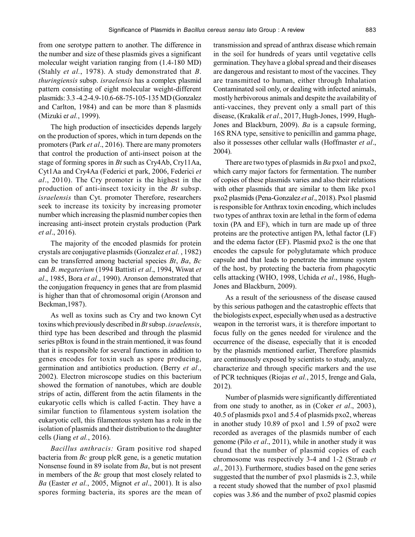from one serotype pattern to another. The difference in the number and size of these plasmids gives a significant molecular weight variation ranging from (1.4-180 MD) (Stahly *et al.*, 1978). A study demonstrated that *B*. *thuringiensis* subsp. *israelensis* has a complex plasmid pattern consisting of eight molecular weight-different plasmids: 3.3 -4.2-4.9-10.6-68-75-105-135 MD (Gonzalez and Carlton, 1984) and can be more than 8 plasmids (Mizuki e*t al.*, 1999).

The high production of insecticides depends largely on the production of spores, which in turn depends on the promoters (Park *et al*., 2016). There are many promoters that control the production of anti-insect poison at the stage of forming spores in *Bt* such as Cry4Ab, Cry11Aa, Cyt1Aa and Cry4Aa (Federici et park, 2006, Federici *et al*., 2010). The Cry promoter is the highest in the production of anti-insect toxicity in the *Bt* subsp. *israelensis* than Cyt. promoter Therefore, researchers seek to increase its toxicity by increasing promoter number which increasing the plasmid number copies then increasing anti-insect protein crystals production (Park *et al*., 2016).

The majority of the encoded plasmids for protein crystals are conjugative plasmids (Gonzalez *et al.* , 1982) can be transferred among bacterial species *Bt*, *Ba*, *Bc* and *B*. *megaterium* (1994 Battisti *et al*., 1994, Wiwat *et al*., 1985, Bora *et al*., 1990). Aronson demonstrated that the conjugation frequency in genes that are from plasmid is higher than that of chromosomal origin (Aronson and Beckman,1987).

As well as toxins such as Cry and two known Cyt toxins which previously described in *Bt* subsp. *israelensis*, third type has been described and through the plasmid series pBtox is found in the strain mentioned, it was found that it is responsible for several functions in addition to genes encodes for toxin such as spore producing, germination and antibiotics production. (Berry *et al*., 2002). Electron microscope studies on this bacterium showed the formation of nanotubes, which are double strips of actin, different from the actin filaments in the eukaryotic cells which is called f-actin. They have a similar function to filamentous system isolation the eukaryotic cell, this filamentous system has a role in the isolation of plasmids and their distribution to the daughter cells (Jiang *et al.*, 2016).

*Bacillus anthracis:* Gram positive rod shaped bacteria from *Bc* group plcR gene, is a genetic mutation Nonsense found in 89 isolate from *Ba*, but is not present in members of the *Bc* group that most closely related to *Ba* (Easter *et al.*, 2005, Mignot *et al*., 2001). It is also spores forming bacteria, its spores are the mean of transmission and spread of anthrax disease which remain in the soil for hundreds of years until vegetative cells germination. They have a global spread and their diseases are dangerous and resistant to most of the vaccines. They are transmitted to human, either through Inhalation Contaminated soil only, or dealing with infected animals, mostly herbivorous animals and despite the availability of anti-vaccines, they prevent only a small part of this disease, (Krakalik *et al*., 2017, Hugh-Jones, 1999, Hugh-Jones and Blackburn, 2009). *Ba* is a capsule forming, 16S RNA type, sensitive to penicillin and gamma phage, also it possesses other cellular walls (Hoffmaster *et al*., 2004).

There are two types of plasmids in *Ba* pxo1 and pxo2, which carry major factors for fermentation. The number of copies of these plasmids varies and also their relations with other plasmids that are similar to them like pxo1 pxo2 plasmids (Pena-Gonzalez *et al*., 2018). Pxo1 plasmid is responsible for Anthrax toxin encoding, which includes two types of anthrax toxin are lethal in the form of edema toxin (PA and EF), which in turn are made up of three proteins are the protective antigen PA, lethal factor (LF) and the edema factor (EF). Plasmid pxo2 is the one that encodes the capsule for polyglutamate which produce capsule and that leads to penetrate the immune system of the host, by protecting the bacteria from phagocytic cells attacking (WHO, 1998, Uchida *et al*., 1986, Hugh-Jones and Blackburn, 2009).

As a result of the seriousness of the disease caused by this serious pathogen and the catastrophic effects that the biologists expect, especially when used as a destructive weapon in the terrorist wars, it is therefore important to focus fully on the genes needed for virulence and the occurrence of the disease, especially that it is encoded by the plasmids mentioned earlier, Therefore plasmids are continuously exposed by scientists to study, analyze, characterize and through specific markers and the use of PCR techniques (Riojas *et al.*, 2015, Irenge and Gala, 2012).

Number of plasmids were significantly differentiated from one study to another, as in (Coker *et al*., 2003), 40.5 of plasmids pxo1 and 5.4 of plasmids pxo2, whereas in another study 10.89 of pxo1 and 1.59 of pxo2 were recorded as averages of the plasmids number of each genome (Pilo *et al*., 2011), while in another study it was found that the number of plasmid copies of each chromosome was respectively 3-4 and 1-2 (Straub *et al*., 2013). Furthermore, studies based on the gene series suggested that the number of pxo1 plasmids is 2.3, while a recent study showed that the number of pxo1 plasmid copies was 3.86 and the number of pxo2 plasmid copies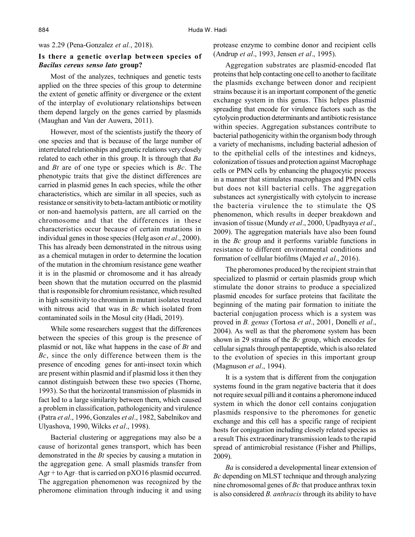was 2.29 (Pena-Gonzalez *et al.*, 2018).

### **Is there a genetic overlap between species of** *Bacilus cereus senso lato* **group?**

Most of the analyzes, techniques and genetic tests applied on the three species of this group to determine the extent of genetic affinity or divergence or the extent of the interplay of evolutionary relationships between them depend largely on the genes carried by plasmids (Maughan and Van der Auwera, 2011).

However, most of the scientists justify the theory of one species and that is because of the large number of interrelated relationships and genetic relations very closely related to each other in this group. It is through that *Ba* and *Bt* are of one type or species which is *Bc*. The phenotypic traits that give the distinct differences are carried in plasmid genes In each species, while the other characteristics, which are similar in all species, such as resistance or sensitivity to beta-lactam antibiotic or motility or non-and haemolysis pattern, are all carried on the chromosome and that the differences in these characteristics occur because of certain mutations in individual genes in those species (Helg ason *et al*., 2000). This has already been demonstrated in the nitrous using as a chemical mutagen in order to determine the location of the mutation in the chromium resistance gene weather it is in the plasmid or chromosome and it has already been shown that the mutation occurred on the plasmid that is responsible for chromium resistance, which resulted in high sensitivity to chromium in mutant isolates treated with nitrous acid that was in *Bc* which isolated from contaminated soils in the Mosul city (Hadi, 2019).

While some researchers suggest that the differences between the species of this group is the presence of plasmid or not, like what happens in the case of *Bt* and *Bc*, since the only difference between them is the presence of encoding genes for anti-insect toxin which are present within plasmid and if plasmid loss it then they cannot distinguish between these two species (Thorne, 1993). So that the horizontal transmission of plasmids in fact led to a large similarity between them, which caused a problem in classification, pathologenicity and virulence (Patra *et al*., 1996, Gonzales *et al*., 1982, Sabelnikov and Ulyashova, 1990, Wilcks *et al*., 1998).

Bacterial clustering or aggregations may also be a cause of horizontal genes transport, which has been demonstrated in the *Bt* species by causing a mutation in the aggregation gene. A small plasmids transfer from  $\text{Agr}$  + to  $\text{Agr}$ -that is carried on pXO16 plasmid occurred. The aggregation phenomenon was recognized by the pheromone elimination through inducing it and using protease enzyme to combine donor and recipient cells (Andrup *et al*., 1993, Jensen *et al*., 1995).

Aggregation substrates are plasmid-encoded flat proteins that help contacting one cell to another to facilitate the plasmids exchange between donor and recipient strains because it is an important component of the genetic exchange system in this genus. This helpes plasmid spreading that encode for virulence factors such as the cytolycin production determinants and antibiotic resistance within species. Aggregation substances contribute to bacterial pathogenicity within the organism body through a variety of mechanisms, including bacterial adhesion of to the epithelial cells of the intestines and kidneys, colonization of tissues and protection against Macrophage cells or PMN cells by enhancing the phagocytic process in a manner that stimulates macrophages and PMN cells but does not kill bacterial cells. The aggregation substances act synergistically with cytolycin to increase the bacteria virulence the to stimulate the QS phenomenon, which results in deeper breakdown and invasion of tissue (Mundy *et al*., 2000, Upadhyaya *et al*., 2009). The aggregation materials have also been found in the *Bc* group and it performs variable functions in resistance to different environmental conditions and formation of cellular biofilms (Majed *et al*., 2016).

The pheromones produced by the recipient strain that specialized to plasmid or certain plasmids group which stimulate the donor strains to produce a specialized plasmid encodes for surface proteins that facilitate the beginning of the mating pair formation to initiate the bacterial conjugation process which is a system was proved in *B. genus* (Tortosa *et al*., 2001, Donelli *et al*., 2004). As well as that the pheromone system has been shown in 29 strains of the *Bc* group, which encodes for cellular signals through pentapeptide, which is also related to the evolution of species in this important group (Magnuson *et al*., 1994).

It is a system that is different from the conjugation systems found in the gram negative bacteria that it does not require sexual pilli and it contains a pheromone induced system in which the donor cell contains conjugation plasmids responsive to the pheromones for genetic exchange and this cell has a specific range of recipient hosts for conjugation including closely related species as a result This extraordinary transmission leads to the rapid spread of antimicrobial resistance (Fisher and Phillips, 2009).

*Ba* is considered a developmental linear extension of *Bc* depending on MLST technique and through analyzing nine chromosomal genes of *Bc* that produce anthrax toxin is also considered *B. anthracis* through its ability to have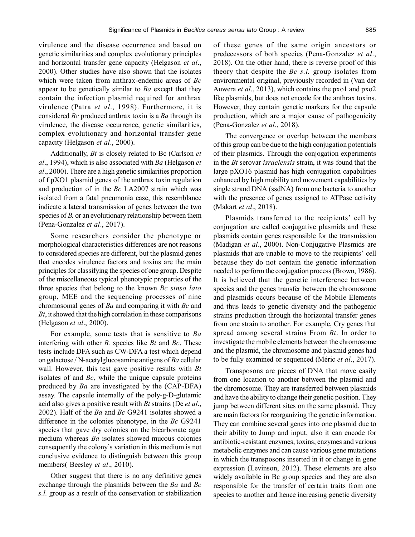virulence and the disease occurrence and based on genetic similarities and complex evolutionary principles and horizontal transfer gene capacity (Helgason *et al*., 2000). Other studies have also shown that the isolates which were taken from anthrax-endemic areas of *Bc* appear to be genetically similar to *Ba* except that they contain the infection plasmid required for anthrax virulence (Patra *et al*., 1998). Furthermore, it is considered *Bc* produced anthrax toxin is a *Ba* through its virulence, the disease occurrence, genetic similarities, complex evolutionary and horizontal transfer gene capacity (Helgason *et al*., 2000).

Additionally, *Bt* is closely related to Bc (Carlson *et al*., 1994), which is also associated with *Ba* (Helgason *et al*., 2000). There are a high genetic similarities proportion of f pXO1 plasmid genes of the anthrax toxin regulation and production of in the *Bc* LA2007 strain which was isolated from a fatal pneumonia case, this resemblance indicate a lateral transmission of genes between the two species of *B*. or an evolutionary relationship between them (Pena-Gonzalez *et al*., 2017).

Some researchers consider the phenotype or morphological characteristics differences are not reasons to considered species are different, but the plasmid genes that encodes virulence factors and toxins are the main principles for classifying the species of one group. Despite of the miscellaneous typical phenotypic properties of the three species that belong to the known *Bc sinso lato* group, MEE and the sequencing processes of nine chromosomal genes of *Ba* and comparing it with *Bc* and *Bt*, it showed that the high correlation in these comparisons (Helgason *et al*., 2000).

For example, some tests that is sensitive to *Ba* interfering with other *B.* species like *Bt* and *Bc*. These tests include DFA such as CW-DFA a test which depend on galactose / N-acetylglucosamine antigens of *Ba* cellular wall. However, this test gave positive results with *Bt* isolates of and *Bc*, while the unique capsule proteins produced by *Ba* are investigated by the (CAP-DFA) assay. The capsule internally of the poly-g-D-glutamic acid also gives a positive result with *Bt* strains (De *et al*., 2002). Half of the *Ba* and *Bc* G9241 isolates showed a difference in the colonies phenotype, in the *Bc* G9241 species that gave dry colonies on the bicarbonate agar medium whereas *Ba* isolates showed mucous colonies consequently the colony's variation in this medium is not conclusive evidence to distinguish between this group members( Beesley *et al*., 2010).

Other suggest that there is no any definitive genes exchange through the plasmids between the *Ba* and *Bc s.l.* group as a result of the conservation or stabilization of these genes of the same origin ancestors or predecessors of both species (Pena-Gonzalez *et al*., 2018). On the other hand, there is reverse proof of this theory that despite the *Bc s.l.* group isolates from environmental original, previously recorded in (Van der Auwera *et al*., 2013), which contains the pxo1 and pxo2 like plasmids, but does not encode for the anthrax toxins. However, they contain genetic markers for the capsule production, which are a major cause of pathogenicity (Pena-Gonzalez *et al*., 2018).

The convergence or overlap between the members of this group can be due to the high conjugation potentials of their plasmids. Through the conjogation experiments in the *Bt* serovar *israelensis* strain, it was found that the large pXO16 plasmid has high conjugation capabilities enhanced by high mobility and movement capabilities by single strand DNA (ssdNA) from one bacteria to another with the presence of genes assigned to ATPase activity (Makart *et al*., 2018).

Plasmids transferred to the recipients' cell by conjugation are called conjugative plasmids and these plasmids contain genes responsible for the transmission (Madigan *et al*., 2000). Non-Conjugative Plasmids are plasmids that are unable to move to the recipients' cell because they do not contain the genetic information needed to perform the conjugation process (Brown, 1986). It is believed that the genetic interference between species and the genes transfer between the chromosome and plasmids occurs because of the Mobile Elements and thus leads to genetic diversity and the pathogenic strains production through the horizontal transfer genes from one strain to another. For example, Cry genes that spread among several strains From *Bt*. In order to investigate the mobile elements between the chromosome and the plasmid, the chromosome and plasmid genes had to be fully examined or sequenced (Méric *et al*., 2017).

Transposons are pieces of DNA that move easily from one location to another between the plasmid and the chromosome. They are transferred between plasmids and have the ability to change their genetic position. They jump between different sites on the same plasmid. They are main factors for reorganizing the genetic information. They can combine several genes into one plasmid due to their ability to Jump and input, also it can encode for antibiotic-resistant enzymes, toxins, enzymes and various metabolic enzymes and can cause various gene mutations in which the transposons inserted in it or change in gene expression (Levinson, 2012). These elements are also widely available in Bc group species and they are also responsible for the transfer of certain traits from one species to another and hence increasing genetic diversity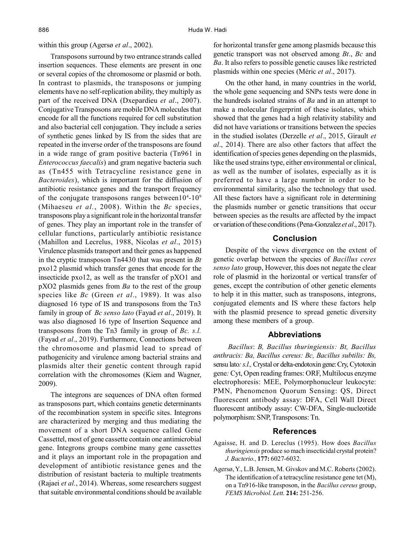within this group (Agersø *et al*., 2002).

Transposons surround by two entrance strands called insertion sequences. These elements are present in one or several copies of the chromosome or plasmid or both. In contrast to plasmids, the transposons or jumping elements have no self-replication ability, they multiply as part of the received DNA (Dxepardieu *et al*., 2007). Conjugative Transposons are mobile DNA molecules that encode for all the functions required for cell substitution and also bacterial cell conjugation. They include a series of synthetic genes linked by IS from the sides that are repeated in the inverse order of the transposons are found in a wide range of gram positive bacteria (Tn961 in *Enterococcus faecalis*) and gram negative bacteria such as (Tn455 with Tetracycline resistance gene in *Bacteroides*), which is important for the diffusion of antibiotic resistance genes and the transport frequency of the conjugate transposons ranges between  $10^{4}$ - $10^{9}$ (Mihaeseu *et al.*, 2008). Within the *Bc* species, transposons play a significant role in the horizontal transfer of genes. They play an important role in the transfer of cellular functions, particularly antibiotic resistance (Mahillon and Lecrelus, 1988, Nicolas *et al*., 2015) Virulence plasmids transport and their genes as happened in the cryptic transposon Tn4430 that was present in *Bt* pxo12 plasmid which transfer genes that encode for the insecticide pxo12, as well as the transfer of pXO1 and pXO2 plasmids genes from *Ba* to the rest of the group species like *Bc* (Green *et al*., 1989). It was also diagnosed 16 type of IS and transposons from the Tn3 family in group of *Bc senso lato* (Fayad *et al*., 2019). It was also diagnosed 16 type of Insertion Sequence and transposons from the Tn3 family in group of *Bc. s.l.* (Fayad *et al*., 2019). Furthermore, Connections between the chromosome and plasmid lead to spread of pathogenicity and virulence among bacterial strains and plasmids alter their genetic content through rapid correlation with the chromosomes (Kiem and Wagner, 2009).

The integrons are sequences of DNA often formed as transposons part, which contains genetic determinants of the recombination system in specific sites. Integrons are characterized by merging and thus mediating the movement of a short DNA sequence called Gene Cassettel, most of gene cassette contain one antimicrobial gene. Integrons groups combine many gene cassettes and it plays an important role in the propagation and development of antibiotic resistance genes and the distribution of resistant bacteria to multiple treatments (Rajaei *et al.*, 2014). Whereas, some researchers suggest that suitable environmental conditions should be available for horizontal transfer gene among plasmids because this genetic transport was not observed among *Bt*., *Bc* and *Ba*. It also refers to possible genetic causes like restricted plasmids within one species (Méric *et al*., 2017).

On the other hand, in many countries in the world, the whole gene sequencing and SNPs tests were done in the hundreds isolated strains of *Ba* and in an attempt to make a molecular fingerprint of these isolates, which showed that the genes had a high relativity stability and did not have variations or transitions between the species in the studied isolates (Derzelle *et al*., 2015, Girault *et al*., 2014). There are also other factors that affect the identification of species genes depending on the plasmids, like the used strains type, either environmental or clinical, as well as the number of isolates, especially as it is preferred to have a large number in order to be environmental similarity, also the technology that used. All these factors have a significant role in determining the plasmids number or genetic transitions that occur between species as the results are affected by the impact or variation of these conditions (Pena-Gonzalez *et al*., 2017).

# **Conclusion**

Despite of the views divergence on the extent of genetic overlap between the species of *Bacillus ceres senso lato* group, However, this does not negate the clear role of plasmid in the horizontal or vertical transfer of genes, except the contribution of other genetic elements to help it in this matter, such as transposons, integrons, conjugated elements and IS where these factors help with the plasmid presence to spread genetic diversity among these members of a group.

## **Abbreviations**

*Bacillus*: *B, Bacillus thuringiensis: Bt, Bacillus anthracis: Ba, Bacillus cereus: Bc, Bacillus subtilis: Bs,* sensu lato: s.l., Crystal or delta-endotoxin gene: Cry, Cytotoxin gene*:* Cyt, Open reading frames: ORF, Multilocus enzyme electrophoresis: MEE, Polymorphonucleur leukocyte: PMN, Phenomenon Quorum Sensing: QS, Direct fluorescent antibody assay: DFA, Cell Wall Direct fluorescent antibody assay: CW-DFA, Single-nucleotide polymorphism: SNP, Transposons: Tn.

#### **References**

- Agaisse, H. and D. Lereclus (1995). How does *Bacillus thuringiensis* produce so mach insecticidal crystal protein? *J. Bacterio.,* **177:** 6027-6032.
- Agersø, Y., L.B. Jensen, M. Givskov and M.C. Roberts (2002). The identification of a tetracycline resistance gene tet (M), on a Tn916-like transposon, in the *Bacillus cereus* group, *FEMS Microbiol. Lett.* **214:** 251-256.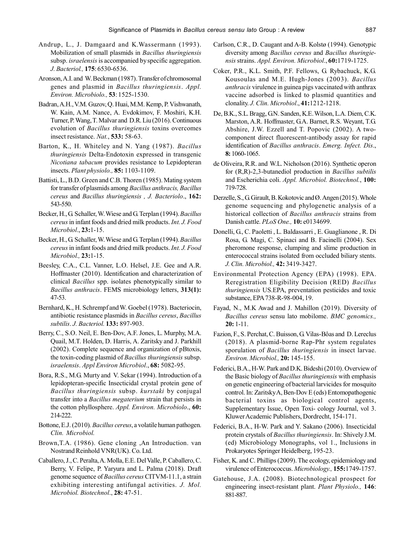- Andrup, L., J. Damgaard and K.Wassermann (1993). Mobilization of small plasmids in *Bacillus thuringiensis* subsp. *israelensis* is accompanied by specific aggregation. *J. Bacteriol.,* **175**: 6530-6536.
- Aronson, A.I. and W. Beckman (1987). Transfer of chromosomal genes and plasmid in *Bacillus thuringiensis*. *Appl. Environ. Microbiolo.,* **53**: 1525-1530.
- Badran, A.H., V.M. Guzov, Q. Huai, M.M. Kemp, P. Vishwanath, W. Kain, A.M. Nance, A. Evdokimov, F. Moshiri, K.H. Turner, P. Wang, T. Malvar and D.R. Liu (2016). Continuous evolution of *Bacillus thuringiensis* toxins overcomes insect resistance. *Nat.*, **533:** 58-63.
- Barton, K., H. Whiteley and N. Yang (1987). *Bacillus thuringiensis* Delta-Endotoxin expressed in transgenic *Nicotiana tabacum* provides resistance to Lepidopteran insects. *Plant physiolo.,* **85:** 1103-1109.
- Battisti, L., B.D. Green and C.B. Thoren (1985). Mating system for transfer of plasmids among *Bacillus anthracis, Bacillus cereus* and *Bacillus thuringiensis , J. Bacteriolo*., **162:** 543-550.
- Becker, H., G. Schaller, W. Wiese and G. Terplan (1994). *Bacillus cereus* in infant foods and dried milk products. *Int. J. Food Microbiol*., **23:**1-15.
- Becker, H., G. Schaller, W. Wiese and G. Terplan (1994). *Bacillus cereus* in infant foods and dried milk products. *Int. J. Food Microbiol.,* **23:**1-15.
- Beesley, C.A., C.L. Vanner, L.O. Helsel, J.E. Gee and A.R. Hoffmaster (2010). Identification and characterization of clinical *Bacillus* spp. isolates phenotypically similar to *Bacillus anthracis*. FEMS microbiology letters, **313(1):** 47-53.
- Bernhard, K., H. Schrempf and W. Goebel (1978). Bacteriocin, antibiotic resistance plasmids in *Bacillus cereus*, *Bacillus subtilis*. *J. Bacteriol.* **133:** 897-903.
- Berry, C., S.O. Neil, E. Ben-Dov, A.F. Jones, L. Murphy, M.A. Quail, M.T. Holden, D. Harris, A. Zaritsky and J. Parkhill (2002). Complete sequence and organization of pBtoxis, the toxin-coding plasmid of *Bacillus thuringiensis* subsp. *israelensis*. *Appl Environ Microbiol*., **68:** 5082-95.
- Bora, R.S., M.G. Murty and V. Sekar (1994). Introduction of a lepidopteran-specific Insecticidal crystal protein gene of *Bacillus thuringiensis* subsp. *kurstaki* by conjugal transfer into a *Bacillus megaterium* strain that persists in the cotton phyllosphere. *Appl. Environ. Microbiolo*., **60:** 214-222.
- Bottone, E.J. (2010)*. Bacillus cereus*, a volatile human pathogen. *Clin. Microbiol.*
- Brown,T.A. (1986). Gene cloning ,An Introduction. van Nostrand Reinhold VNR(UK). Co. Ltd.
- Caballero, J., C. Peralta, A. Molla, E.E. Del Valle, P. Caballero, C. Berry, V. Felipe, P. Yaryura and L. Palma (2018). Draft genome sequence of *Bacillus cereus* CITVM-11.1, a strain exhibiting interesting antifungal activities. *J. Mol. Microbiol. Biotechnol*., **28:** 47-51.
- Carlson, C.R., D. Caugant and A-B. Kolstø (1994). Genotypic diversity among *Bacillus cereus* and *Bacillus thuringiensis* strains. *Appl. Environ. Microbiol*., **60:**1719-1725.
- Coker, P.R., K.L. Smith, P.F. Fellows, G. Rybachuck, K.G. Kousoulas and M.E. Hugh-Jones (2003). *Bacillus anthracis* virulence in guinea pigs vaccinated with anthrax vaccine adsorbed is linked to plasmid quantities and clonality. *J. Clin. Microbiol*., **41:**1212-1218.
- De, B.K., S.L. Bragg, G.N. Sanden, K.E. Wilson, L.A. Diem, C.K. Marston, A.R. Hoffmaster, G.A. Barnet, R.S. Weyant, T.G. Abshire, J.W. Ezzell and T. Popovic (2002). A twocomponent direct fluorescent-antibody assay for rapid identification of *Bacillus anthracis*. *Emerg. Infect. Dis*., **8:** 1060-1065.
- de Oliveira, R.R. and W.L. Nicholson (2016). Synthetic operon for (R,R)-2,3-butanediol production in *Bacillus subtilis* and Escherichia coli. *Appl. Microbiol. Biotechnol.*, **100:** 719-728.
- Derzelle, S., G. Girault, B. Kokotovic and Ø. Angen (2015). Whole genome sequencing and phylogenetic analysis of a historical collection of *Bacillus anthracis* strains from Danish cattle. *PLoS One.,* **10:** e0134699.
- Donelli, G., C. Paoletti , L. Baldassarri , E. Guaglianone , R. Di Rosa, G. Magi, C. Spinaci and B. Facinelli (2004). Sex pheromone response, clumping and slime production in enterococcal strains isolated from occluded biliary stents. *J. Clin. Microbiol.,* **42:** 3419-3427.
- Environmental Protection Agency (EPA) (1998). EPA. Reregistration Eligibility Decision (RED) *Bacillus thuringiensis* US.EPA, preventation pesticides and toxic substance, EPA 738-R-98-004, 19.
- Fayad, N., M.K Awad and J. Mahillon (2019). Diversity of *Bacillus cereus* sensu lato mobilome. *BMC genomics.,* **20:** 1-11.
- Fazion, F., S. Perchat, C. Buisson, G. Vilas-Bôas and D. Lereclus (2018). A plasmid-borne Rap-Phr system regulates sporulation of *Bacillus thuringiensis* in insect larvae. *Environ. Microbiol.,* **20:** 145-155.
- Federici, B.A., H-W. Park and D.K. Bideshi (2010). Overview of the Basic biology of *Bacillus thuringiensis* with emphasis on genetic engineering of bacterial larvicides for mosquito control. In: Zaritsky A, Ben-Dov E (eds) Entomopathogenic bacterial toxins as biological control agents, Supplementary Issue, Open Toxi- cology Journal, vol 3. Kluwer Academic Publishers, Dordrecht, 154-171.
- Federici, B.A., H-W. Park and Y. Sakano (2006). Insecticidal protein crystals of *Bacillus thuringiensis*. In: Shively J.M. (ed) Microbiology Monographs, vol 1., Inclusions in Prokaryotes Springer Heidelberg, 195-23.
- Fisher, K. and C. Phillips (2009). The ecology, epidemiology and virulence of Enterococcus. *Microbiology.,* **155:**1749-1757.
- Gatehouse, J.A. (2008). Biotechnological prospect for engineering insect-resistant plant. *Plant Physiolo.,* **146**: 881-887.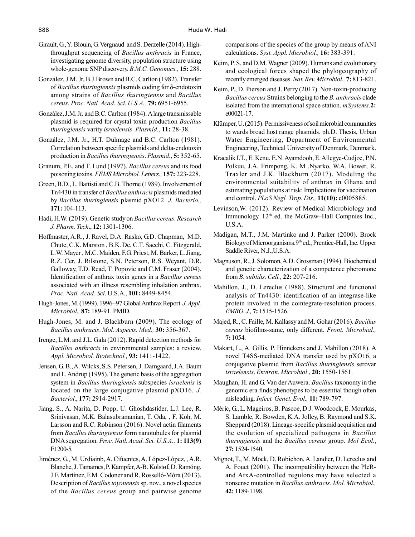- Girault, G., Y. Blouin, G. Vergnaud and S. Derzelle (2014). Highthroughput sequencing of *Bacillus anthracis* in France, investigating genome diversity, population structure using whole-genome SNP discovery. *B.M.C. Genomics.,* **15:** 288.
- González, J.M. Jr, B.J.Brown and B.C. Carlton (1982). Transfer of *Bacillus thuringiensis* plasmids coding for δ-endotoxin among strains of *Bacillus thuringiensis* and *Bacillus cereus*. *Proc. Natl. Acad. Sci. U.S.A.,* **79:** 6951-6955.
- González, J.M. Jr. and B.C. Carlton (1984).A large transmissable plasmid is required for crystal toxin production *Bacillus thuringiensis* varity *israelensis*. *Plasmid.,* **11:** 28-38.
- González, J.M. Jr., H.T. Dulmage and B.C. Carlton (1981). Correlation between specific plasmids and delta-endotoxin production in *Bacillus thuringiensis*. *Plasmid.*, **5:** 352-65.
- Granum, P.E. and T. Lund (1997). *Bacillus cereus* and its food poisoning toxins. *FEMS Microbiol. Letters.,* **157:** 223-228.
- Green, B.D., L. Battisti and C.B. Thorne (1989). Involvement of Tn4430 in transfer of *Bacillus anthracis* plasmids mediated by *Bacillus thuringiensis* plasmid pXO12. *J. Bacterio.,* **171:** 104-113.
- Hadi, H.W. (2019). Genetic study on *Bacillus cereus*. *Research J. Pharm. Tech*., **12:** 1301-1306.
- Hoffmaster, A.R., J. Ravel, D.A. Rasko, G.D. Chapman, M.D. Chute, C.K. Marston , B.K. De, C.T. Sacchi, C. Fitzgerald, L.W. Mayer , M.C. Maiden, F.G. Priest, M. Barker, L. Jiang, R.Z. Cer, J. Rilstone, S.N. Peterson, R.S. Weyant, D.R. Galloway, T.D. Read, T. Popovic and C.M. Fraser (2004). Identification of anthrax toxin genes in a *Bacillus cereus* associated with an illness resembling inhalation anthrax. *Proc. Natl. Acad. Sci*. U.S.A., **101:** 8449-8454.
- Hugh-Jones, M. (1999). 1996–97 Global Anthrax Report. *J. Appl. Microbiol.,* **87:** 189-91. PMID.
- Hugh-Jones, M. and J. Blackburn (2009). The ecology of *Bacillus anthracis*. *Mol. Aspects. Med.,* **30:** 356-367.
- Irenge, L.M. and J.L. Gala (2012). Rapid detection methods for *Bacillus anthracis* in environmental samples: a review. *Appl. Microbiol. Biotechnol.,* **93:** 1411-1422.
- Jensen, G. B., A. Wilcks, S.S. Petersen, J. Damgaard, J.A. Baum and L. Andrup (1995). The genetic basis of the aggregation system in *Bacillus thuringiensis* subspecies *israelenis* is located on the large conjugative plasmid pXO16*. J. Bacteriol*., **177:** 2914-2917.
- Jiang, S., A. Narita, D. Popp, U. Ghoshdastider, L.J. Lee, R. Srinivasan, M.K. Balasubramanian, T. Oda, , F. Koh, M. Larsson and R.C. Robinson (2016). Novel actin filaments from *Bacillus thuringiensis* form nanotubules for plasmid DNA segregation. *Proc. Natl. Acad. Sci. U.S.A.,* **1: 113(9)** E1200-5.
- Jiménez, G., M. Urdiainb, A. Cifuentes, A. López-López, , A.R. Blanchc, J. Tamames, P. Kämpfer, A-B. Kolstøf, D. Ramóng, J.F. Martínez, F.M. Codoner and R. Rosselló-Móra (2013). Description of *Bacillus toyonensis* sp. nov., a novel species of the *Bacillus cereus* group and pairwise genome

comparisons of the species of the group by means of ANI calculations. *Syst. Appl. Microbiol.,* **16:** 383-391.

- Keim, P. S. and D.M. Wagner (2009). Humans and evolutionary and ecological forces shaped the phylogeography of recently emerged diseases. *Nat. Rev. Microbiol.,* **7:** 813-821.
- Keim, P., D. Pierson and J. Perry (2017). Non-toxin-producing *Bacillus cereus* Strains belonging to the *B. anthracis* clade isolated from the international space station. *mSystems.***2:** e00021-17.
- Klümper, U. (2015). Permissiveness of soil microbial communities to wards broad host range plasmids. ph.D. Thesis, Urban Water Engineering, Department of Environmental Engineering, Technical University of Denmark, Denmark.
- Kracalik I.T., E. Kenu, E.N. Ayamdooh, E. Allegye-Cudjoe, P.N. Polkuu, J.A. Frimpong, K. M .Nyarko, W.A. Bower, R. Traxler and J.K. Blackburn (2017). Modeling the environmental suitability of anthrax in Ghana and estimating populations at risk: Implications for vaccination and control. *PLoS Negl. Trop. Dis.,* **11(10):** e0005885.
- Levinson,W. (2012). Review of Medical Microbiology and Immunology. 12<sup>th</sup> ed. the McGraw–Hall Compnies Inc., U.S.A.
- Madigan, M.T., J.M. Martinko and J. Parker (2000). Brock Biology of Microorganisms.9th ed., Prentice-Hall, Inc. Upper Saddle River, N.J.,U.S.A.
- Magnuson, R., J. Solomon, A.D. Grossman (1994). Biochemical and genetic characterization of a competence pheromone from *B. subtilis*. *Cell.,* **22:** 207-216.
- Mahillon, J., D. Lereclus (1988). Structural and functional analysis of Tn4430: identification of an integrase-like protein involved in the cointegrate-resolution process. *EMBO. J.,* **7:** 1515-1526.
- Majed, R., C. Faille, M. Kallassy and M. Gohar (2016). *Bacillus cereus* biofilms-same, only different. *Front. Microbial.,* **7:** 1054.
- Makart, L., A. Gillis, P. Hinnekens and J. Mahillon (2018). A novel T4SS-mediated DNA transfer used by pXO16, a conjugative plasmid from *Bacillus thuringiensis* serovar *israelensis*. *Environ. Microbiol*., **20:** 1550-1561.
- Maughan, H. and G. Van der Auwera. *Bacillus* taxonomy in the genomic era finds phenotypes to be essential though often misleading. *Infect. Genet. Evol.,* **11:** 789-797.
- Méric, G., L. Mageiros, B. Pascoe, D.J. Woodcock, E. Mourkas, S. Lamble, R. Bowden, K.A. Jolley, B. Raymond and S.K. Sheppard (2018). Lineage-specific plasmid acquisition and the evolution of specialized pathogens in *Bacillus thuringiensis* and the *Bacillus cereus* group. *Mol Ecol*., **27:** 1524-1540.
- Mignot, T., M. Mock, D. Robichon, A. Landier, D. Lereclus and A. Fouet (2001). The incompatibility between the PlcRand AtxA-controlled regulons may have selected a nonsense mutation in *Bacillus anthracis*. *Mol. Microbiol.,* **42:** 1189-1198.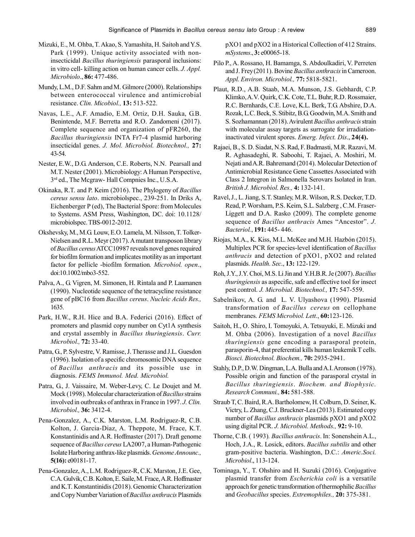- Mizuki, E., M. Ohba, T. Akao, S. Yamashita, H. Saitoh and Y.S. Park (1999). Unique activity associated with noninsecticidal *Bacillus thuringiensis* parasporal inclusions: in vitro cell- killing action on human cancer cells. *J. Appl. Microbiolo*., **86:** 477-486.
- Mundy, L.M., D.F. Sahm and M. Gilmore (2000). Relationships between enterococcal virulence and antimicrobial resistance. *Clin. Micobiol.,* **13:** 513-522.
- Navas, L.E., A.F. Amadio, E.M. Ortiz, D.H. Sauka, G.B. Benintende, M.F. Berretta and R.O. Zandomeni (2017). Complete sequence and organization of pFR260, the *Bacillus thuringiensis* INTA Fr7-4 plasmid harboring insecticidal genes. *J. Mol. Microbiol. Biotechnol.,* **27:** 43-54.
- Nester, E.W., D.G. Anderson, C.E. Roberts, N.N. Pearsall and M.T. Nester (2001). Microbiology: A Human Perspective, 3 rd ed., The Mcgraw- Hall Compnies Inc., U.S.A.
- Okinaka, R.T. and P. Keim (2016). The Phylogeny of *Bacillus cereus sensu lato*. microbiolspec., 239-251. In Driks A, Eichenberger P (ed), The Bacterial Spore: from Molecules to Systems. ASM Press, Washington, DC. doi: 10.1128/ microbiolspec. TBS-0012-2012.
- Okshevsky, M., M.G. Louw, E.O. Lamela, M. Nilsson, T. Tolker-Nielsen and R.L. Meyr (2017). A mutant transposon library of *Bacillus cereus* ATCC10987 reveals novel genes required for biofilm formation and implicates motility as an important factor for pellicle -biofilm formation*. Microbiol. open*., doi:10.1002/mbo3-552.
- Palva, A., G. Vigren, M. Simonen, H. Rintala and P. Laamanen (1990). Nucleotide sequence of the tetracycline resistance gene of pBC16 from *Bacillus cereus*. *Nucleic Acids Res.,* 1635.
- Park, H.W., R.H. Hice and B.A. Federici (2016). Effect of promoters and plasmid copy number on Cyt1A synthesis and crystal assembly in *Bacillus thuringiensis*. *Curr. Microbiol.,* **72:** 33-40.
- Patra, G., P. Sylvestre, V. Ramisse, J. Therasse and J.L. Guesdon (1996). Isolation of a specific chromosomic DNA sequence of *Bacillus anthracis* and its possible use in diagnosis. *FEMS Immunol. Med. Microbiol.*
- Patra, G., J. Vaissaire, M. Weber-Levy, C. Le Doujet and M. Mock (1998). Molecular characterization of *Bacillus* strains involved in outbreaks of anthrax in France in 1997. *J. Clin. Microbiol.,* **36:** 3412-4.
- Pena-Gonzalez, A., C.K. Marston, L.M. Rodriguez-R, C.B. Kolton, J. Garcia-Diaz, A. Theppote, M. Frace, K.T. Konstantinidis and A.R. Hoffmaster (2017). Draft genome sequence of *Bacillus cereus* LA2007, a Human-Pathogenic Isolate Harboring anthrax-like plasmids.*Genome Announc.,* **5(16):** e00181-17.
- Pena-Gonzalez, A., L.M. Rodriguez-R, C.K. Marston, J.E. Gee, C.A. Gulvik, C.B. Kolton, E. Saile, M. Frace, A.R. Hoffmaster and K.T. Konstantinidis (2018). Genomic Characterization and Copy Number Variation of *Bacillus anthracis* Plasmids

pXO1 and pXO2 in a Historical Collection of 412 Strains. *mSystems*., **3:** e00065-18.

- Pilo P., A. Rossano, H. Bamamga, S. Abdoulkadiri, V. Perreten and J. Frey (2011). Bovine *Bacillus anthracis* in Cameroon. *Appl. Environ. Microbiol.,* **77:** 5818-5821.
- Plaut, R.D., A.B. Staab, M.A. Munson, J.S. Gebhardt, C.P. Klimko, A.V. Quirk, C.K. Cote, T.L. Buhr, R.D. Rossmaier, R.C. Bernhards, C.E. Love, K.L. Berk, T.G. Abshire, D.A. Rozak, L.C. Beck, S. Stibitz, B.G. Goodwin, M.A. Smith and S. Sozhamannan (2018).Avirulent *Bacillus anthracis* strain with molecular assay targets as surrogate for irradiationinactivated virulent spores. *Emerg. Infect. Dis*., **24(4).**
- Rajaei, B., S. D. Siadat, N.S. Rad, F. Badmasti, M.R. Razavi, M. R. Aghasadeghi, R. Saboohi, T. Rajaei, A. Moshiri, M. Nejati and A.R. Bahremand (2014). Molecular Detection of Antimicrobial Resistance Gene Cassettes Associated with Class 2 Integron in Salmonella Serovars Isolated in Iran. *British J. Microbiol. Res.,* **4:** 132-141.
- Ravel, J., L. Jiang, S.T. Stanley, M.R. Wilson, R.S. Decker, T.D. Read, P. Worsham, P.S. Keim, S.L. Salzberg , C.M. Fraser-Liggett and D.A. Rasko (2009). The complete genome sequence of *Bacillus anthracis* Ames "Ancestor". *J. Bacteriol.*, **191:** 445- 446.
- Riojas, M.A., K. Kiss, M.L. McKee and M.H. Hazbón (2015). Multiplex PCR for species-level identification of *Bacillus anthracis* and detection of pXO1, pXO2 and related plasmids. *Health. Sec*., **13:** 122-129.
- Roh, J.Y., J.Y. Choi, M.S. Li Jin and Y.H.B.R. Je (2007).*Bacillus thuringiensis* as aspecific, safe and effective tool for insect pest control. *J. Microbial. Biotechnol.,* **17:** 547-559.
- Sabelnikov, A. G. and L. V. Ulyashova (1990). Plasmid transformation of *Bacillus cereus* on cellophane membranes. *FEMS Microbiol. Lett*., **60:**123-126.
- Saitoh, H., O. Shiro, I. Tomoyuki, A. Tetsuyuki, E. Mizuki and M. Ohba (2006). Investigation of a novel *Bacillus thuringiensis* gene encoding a parasporal protein, parasporin-4, that preferential kills human leukemik T cells. *Biosci. Biotechnol. Biochem.,* **70:** 2935-2941.
- Stahly, D.P., D.W. Dingman, L.A. Bulla and A.I. Aronson (1978). Possible origin and function of the parasporal crystal in *Bacillus thuringiensis*. *Biochem. and Biophysic. Research Communi.,* **84:** 581-588.
- Straub T, C. Baird, R.A. Bartholomew, H. Colburn, D. Seiner, K. Victry, L. Zhang, C.J. Bruckner-Lea (2013). Estimated copy number of *Bacillus anthracis* plasmids pXO1 and pXO2 using digital PCR. *J. Microbiol. Methods.,* **92:** 9-10.
- Thorne, C.B. ( 1993)*. Bacillus anthracis*. In: Sonenshein A.L., Hoch, J.A., R. Losick, editors. *Bacillus subtilis* and other gram-positive bacteria. Washington, D.C.: *Americ.Soci. Microbiol*., 113-124.
- Tominaga, Y., T. Ohshiro and H. Suzuki (2016). Conjugative plasmid transfer from *Escherichia coli* is a versatile approach for genetic transformation of thermophilic *Bacillus* and *Geobacillus* species. *Extremophiles.,* **20:** 375-381.